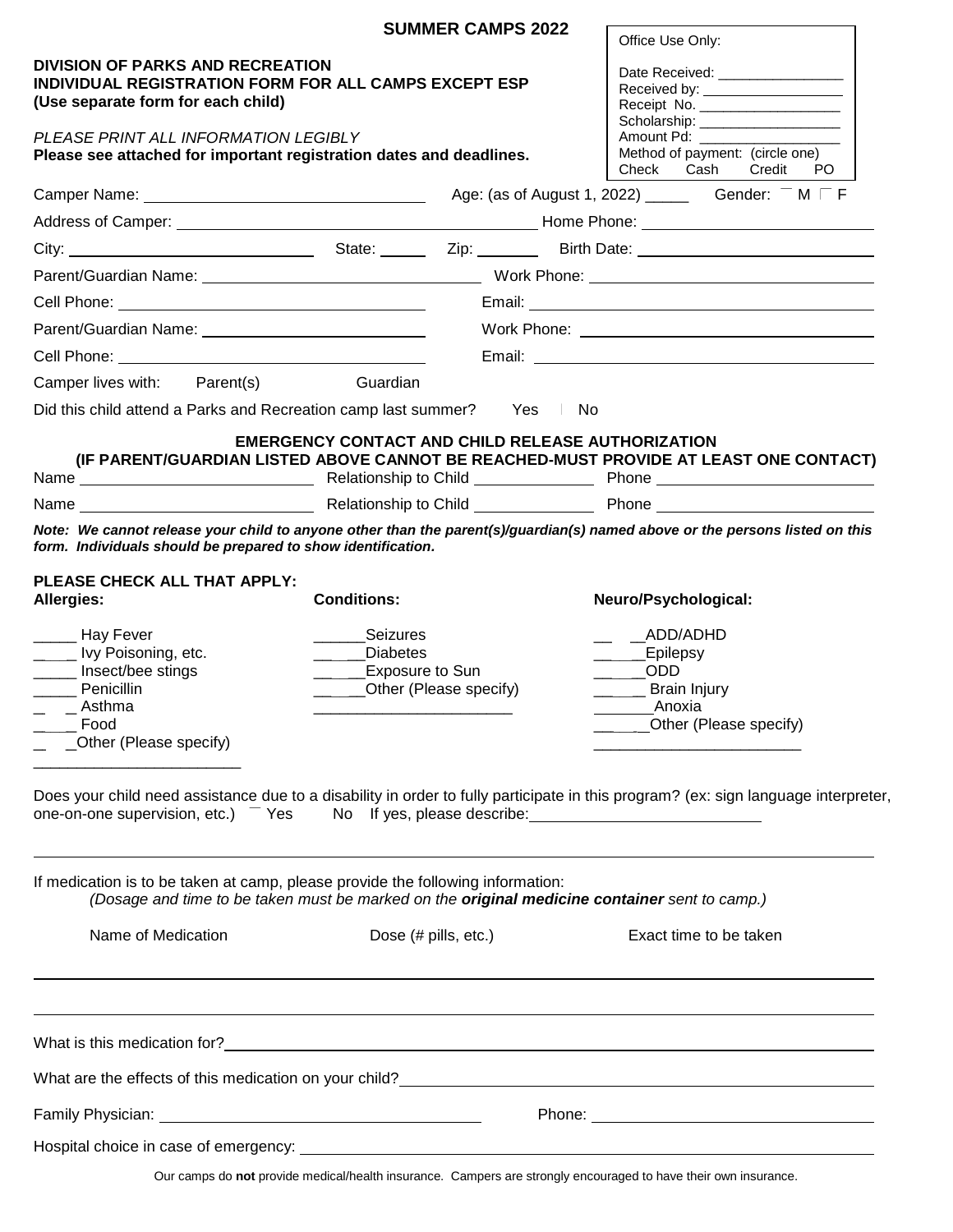|                                                                                                                                                                                                                                                              |                                                                                                                       | <b>SUMMER CAMPS 2022</b> |  | Office Use Only:                                                                                                                                                                                                                                           |  |
|--------------------------------------------------------------------------------------------------------------------------------------------------------------------------------------------------------------------------------------------------------------|-----------------------------------------------------------------------------------------------------------------------|--------------------------|--|------------------------------------------------------------------------------------------------------------------------------------------------------------------------------------------------------------------------------------------------------------|--|
| <b>DIVISION OF PARKS AND RECREATION</b><br><b>INDIVIDUAL REGISTRATION FORM FOR ALL CAMPS EXCEPT ESP</b><br>(Use separate form for each child)<br>PLEASE PRINT ALL INFORMATION LEGIBLY<br>Please see attached for important registration dates and deadlines. |                                                                                                                       |                          |  | Date Received: National Property of the Received:<br>Received by: ____________________<br>Receipt No. _______________________<br>Scholarship: ____________________<br>Amount Pd: _______<br>Method of payment: (circle one)<br>Cash Credit<br>Check<br>PO. |  |
|                                                                                                                                                                                                                                                              |                                                                                                                       |                          |  |                                                                                                                                                                                                                                                            |  |
|                                                                                                                                                                                                                                                              |                                                                                                                       |                          |  |                                                                                                                                                                                                                                                            |  |
|                                                                                                                                                                                                                                                              |                                                                                                                       |                          |  |                                                                                                                                                                                                                                                            |  |
|                                                                                                                                                                                                                                                              |                                                                                                                       |                          |  |                                                                                                                                                                                                                                                            |  |
|                                                                                                                                                                                                                                                              |                                                                                                                       |                          |  |                                                                                                                                                                                                                                                            |  |
|                                                                                                                                                                                                                                                              |                                                                                                                       |                          |  |                                                                                                                                                                                                                                                            |  |
| Cell Phone: <u>New York: New York: New York: New York: New York: New York: New York: New York: New York: New York: New York: New York: New York: New York: New York: New York: New York: New York: New York: New York: New York:</u>                         |                                                                                                                       |                          |  |                                                                                                                                                                                                                                                            |  |
| Camper lives with:<br>Parent(s)                                                                                                                                                                                                                              | Guardian                                                                                                              |                          |  |                                                                                                                                                                                                                                                            |  |
| Did this child attend a Parks and Recreation camp last summer? Yes No                                                                                                                                                                                        |                                                                                                                       |                          |  |                                                                                                                                                                                                                                                            |  |
|                                                                                                                                                                                                                                                              | <b>EMERGENCY CONTACT AND CHILD RELEASE AUTHORIZATION</b>                                                              |                          |  | (IF PARENT/GUARDIAN LISTED ABOVE CANNOT BE REACHED-MUST PROVIDE AT LEAST ONE CONTACT)                                                                                                                                                                      |  |
|                                                                                                                                                                                                                                                              |                                                                                                                       |                          |  |                                                                                                                                                                                                                                                            |  |
|                                                                                                                                                                                                                                                              |                                                                                                                       |                          |  | Note: We cannot release your child to anyone other than the parent(s)/guardian(s) named above or the persons listed on this                                                                                                                                |  |
| ______ Hay Fever<br>$\qquad \qquad -$ Ivy Poisoning, etc.<br>_____ Insect/bee stings<br>______ Penicillin<br>$ -$ Asthma<br>Food<br>Other (Please specify)                                                                                                   | <b>Seizures</b><br><b>Diabetes</b><br>$\overline{\phantom{a}}$<br>__ __Exposure to Sun<br>__ __Other (Please specify) |                          |  | __ADD/ADHD<br>__ _Epilepsy<br>$\sim$ ODD<br>_ Brain Injury<br>Anoxia<br>Other (Please specify)<br>Does your child need assistance due to a disability in order to fully participate in this program? (ex: sign language interpreter,                       |  |
| one-on-one supervision, etc.)<br>Yes<br>If medication is to be taken at camp, please provide the following information:<br>(Dosage and time to be taken must be marked on the original medicine container sent to camp.)                                     |                                                                                                                       |                          |  |                                                                                                                                                                                                                                                            |  |
| Name of Medication                                                                                                                                                                                                                                           |                                                                                                                       | Dose (# pills, etc.)     |  | Exact time to be taken                                                                                                                                                                                                                                     |  |
| What is this medication for?<br><u> What is this medication for?</u>                                                                                                                                                                                         |                                                                                                                       |                          |  |                                                                                                                                                                                                                                                            |  |
|                                                                                                                                                                                                                                                              |                                                                                                                       |                          |  |                                                                                                                                                                                                                                                            |  |
| Phone: <u>with the contract of the contract of the contract of the contract of the contract of the contract of the contract of the contract of the contract of the contract of the contract of the contract of the contract of t</u>                         |                                                                                                                       |                          |  |                                                                                                                                                                                                                                                            |  |
|                                                                                                                                                                                                                                                              |                                                                                                                       |                          |  |                                                                                                                                                                                                                                                            |  |
|                                                                                                                                                                                                                                                              |                                                                                                                       |                          |  |                                                                                                                                                                                                                                                            |  |
|                                                                                                                                                                                                                                                              |                                                                                                                       |                          |  | Our camps do not provide medical/health insurance. Campers are strongly encouraged to have their own insurance.                                                                                                                                            |  |